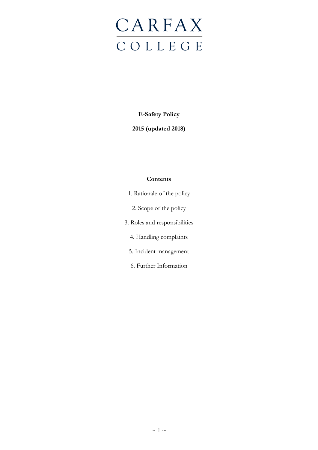# **CARFAX** C O L L E G E

**E-Safety Policy**

**2015 (updated 2018)**

# **Contents**

- 1. Rationale of the policy 2. Scope of the policy
- 3. Roles and responsibilities
	- 4. Handling complaints
	- 5. Incident management
	- 6. Further Information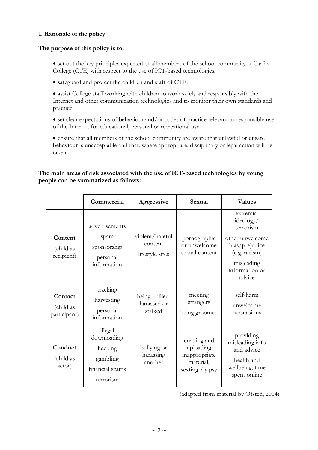#### **1. Rationale of the policy**

#### **The purpose of this policy is to:**

- set out the key principles expected of all members of the school community at Carfax College (CTE) with respect to the use of ICT-based technologies.
- safeguard and protect the children and staff of CTE.
- assist College staff working with children to work safely and responsibly with the Internet and other communication technologies and to monitor their own standards and practice.
- set clear expectations of behaviour and/or codes of practice relevant to responsible use of the Internet for educational, personal or recreational use.
- ensure that all members of the school community are aware that unlawful or unsafe behaviour is unacceptable and that, where appropriate, disciplinary or legal action will be taken.

## **The main areas of risk associated with the use of ICT-based technologies by young people can be summarized as follows:**

|                                      | Commercial                                                                    | Aggressive                                    | Sexual                                                                       | <b>Values</b>                                                                                                                       |
|--------------------------------------|-------------------------------------------------------------------------------|-----------------------------------------------|------------------------------------------------------------------------------|-------------------------------------------------------------------------------------------------------------------------------------|
| Content<br>(child as<br>recipient)   | advertisements<br>spam<br>sponsorship<br>personal<br>information              | violent/hateful<br>content<br>lifestyle sites | pornographic<br>or unwelcome<br>sexual content                               | extremist<br>ideology/<br>terrorism<br>other unwelcome<br>bias/prejudice<br>(e.g. racism)<br>misleading<br>information or<br>advice |
| Contact<br>(child as<br>participant) | tracking<br>harvesting<br>personal<br>information                             | being bullied,<br>harassed or<br>stalked      | meeting<br>strangers<br>being groomed                                        | self-harm<br>unwelcome<br>persuasions                                                                                               |
| Conduct<br>(child as<br>actor)       | illegal<br>downloading<br>hacking<br>gambling<br>financial scams<br>terrorism | bullying or<br>harassing<br>another           | creating and<br>uploading<br>inappropriate<br>material;<br>sexting $/$ yipsy | providing<br>misleading info<br>and advice<br>health and<br>wellbeing; time<br>spent online                                         |

(adapted from material by Ofsted, 2014)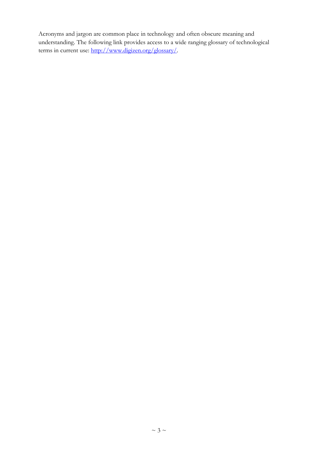Acronyms and jargon are common place in technology and often obscure meaning and understanding. The following link provides access to a wide ranging glossary of technological terms in current use: [http://www.digizen.org/glossary/.](http://www.digizen.org/glossary/)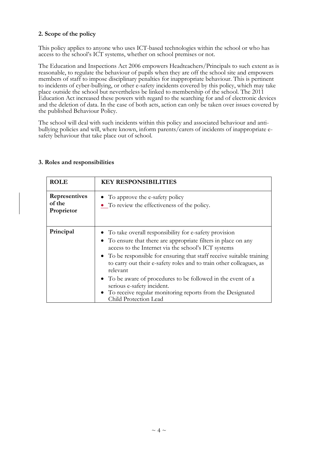## **2. Scope of the policy**

This policy applies to anyone who uses ICT-based technologies within the school or who has access to the school's ICT systems, whether on school premises or not.

The Education and Inspections Act 2006 empowers Headteachers/Principals to such extent as is reasonable, to regulate the behaviour of pupils when they are off the school site and empowers members of staff to impose disciplinary penalties for inappropriate behaviour. This is pertinent to incidents of cyber-bullying, or other e-safety incidents covered by this policy, which may take place outside the school but nevertheless be linked to membership of the school. The 2011 Education Act increased these powers with regard to the searching for and of electronic devices and the deletion of data. In the case of both acts, action can only be taken over issues covered by the published Behaviour Policy.

The school will deal with such incidents within this policy and associated behaviour and antibullying policies and will, where known, inform parents/carers of incidents of inappropriate esafety behaviour that take place out of school.

| <b>ROLE</b>                           | <b>KEY RESPONSIBILITIES</b>                                                                                                                                                                                                                                                                                                                                                                                                                                                                                                      |  |
|---------------------------------------|----------------------------------------------------------------------------------------------------------------------------------------------------------------------------------------------------------------------------------------------------------------------------------------------------------------------------------------------------------------------------------------------------------------------------------------------------------------------------------------------------------------------------------|--|
| Representives<br>of the<br>Proprietor | • To approve the e-safety policy<br>• To review the effectiveness of the policy.                                                                                                                                                                                                                                                                                                                                                                                                                                                 |  |
| Principal                             | • To take overall responsibility for e-safety provision<br>• To ensure that there are appropriate filters in place on any<br>access to the Internet via the school's ICT systems<br>• To be responsible for ensuring that staff receive suitable training<br>to carry out their e-safety roles and to train other colleagues, as<br>relevant<br>• To be aware of procedures to be followed in the event of a<br>serious e-safety incident.<br>To receive regular monitoring reports from the Designated<br>Child Protection Lead |  |

#### **3. Roles and responsibilities**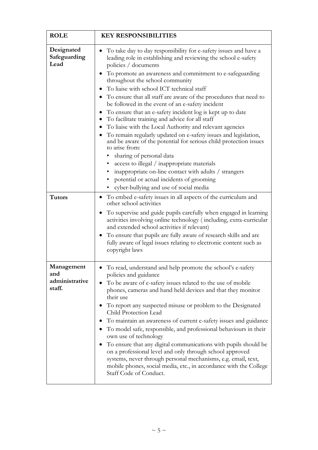| <b>ROLE</b>                                   | <b>KEY RESPONSIBILITIES</b>                                                                                                                                                                                                                                                                                                                                                                                                                                                                                                                                                                                                                                                                                                                                                                                                                                                                                                                                                                                      |  |
|-----------------------------------------------|------------------------------------------------------------------------------------------------------------------------------------------------------------------------------------------------------------------------------------------------------------------------------------------------------------------------------------------------------------------------------------------------------------------------------------------------------------------------------------------------------------------------------------------------------------------------------------------------------------------------------------------------------------------------------------------------------------------------------------------------------------------------------------------------------------------------------------------------------------------------------------------------------------------------------------------------------------------------------------------------------------------|--|
| Designated<br>Safeguarding<br>Lead            | To take day to day responsibility for e-safety issues and have a<br>leading role in establishing and reviewing the school e-safety<br>policies / documents<br>To promote an awareness and commitment to e-safeguarding<br>throughout the school community<br>To liaise with school ICT technical staff<br>To ensure that all staff are aware of the procedures that need to<br>be followed in the event of an e-safety incident<br>To ensure that an e-safety incident log is kept up to date<br>To facilitate training and advice for all staff<br>٠<br>To liaise with the Local Authority and relevant agencies<br>To remain regularly updated on e-safety issues and legislation,<br>and be aware of the potential for serious child protection issues<br>to arise from:<br>sharing of personal data<br>access to illegal / inappropriate materials<br>inappropriate on-line contact with adults / strangers<br>٠<br>potential or actual incidents of grooming<br>٠<br>cyber-bullying and use of social media |  |
| <b>Tutors</b>                                 | To embed e-safety issues in all aspects of the curriculum and<br>$\bullet$<br>other school activities<br>To supervise and guide pupils carefully when engaged in learning<br>activities involving online technology (including, extra-curricular<br>and extended school activities if relevant)<br>To ensure that pupils are fully aware of research skills and are<br>fully aware of legal issues relating to electronic content such as<br>copyright laws                                                                                                                                                                                                                                                                                                                                                                                                                                                                                                                                                      |  |
| Management<br>and<br>administrative<br>staff. | To read, understand and help promote the school's e-safety<br>policies and guidance<br>To be aware of e-safety issues related to the use of mobile<br>phones, cameras and hand held devices and that they monitor<br>their use<br>To report any suspected misuse or problem to the Designated<br>Child Protection Lead<br>To maintain an awareness of current e-safety issues and guidance<br>To model safe, responsible, and professional behaviours in their<br>own use of technology<br>To ensure that any digital communications with pupils should be<br>on a professional level and only through school approved<br>systems, never through personal mechanisms, e.g. email, text,<br>mobile phones, social media, etc., in accordance with the College<br>Staff Code of Conduct.                                                                                                                                                                                                                           |  |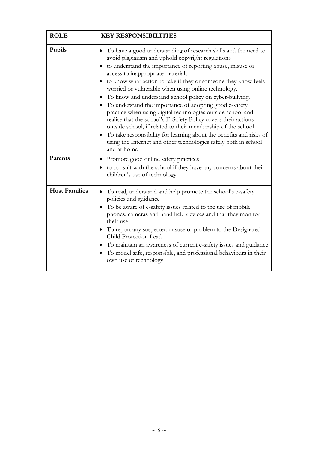| <b>ROLE</b>          | <b>KEY RESPONSIBILITIES</b>                                                                                                                                                                                                                                                                                                                                                                                                                                                                                                                                                                                                                                                                                                                                                                                                                                             |  |
|----------------------|-------------------------------------------------------------------------------------------------------------------------------------------------------------------------------------------------------------------------------------------------------------------------------------------------------------------------------------------------------------------------------------------------------------------------------------------------------------------------------------------------------------------------------------------------------------------------------------------------------------------------------------------------------------------------------------------------------------------------------------------------------------------------------------------------------------------------------------------------------------------------|--|
| Pupils<br>Parents    | To have a good understanding of research skills and the need to<br>avoid plagiarism and uphold copyright regulations<br>to understand the importance of reporting abuse, misuse or<br>access to inappropriate materials<br>to know what action to take if they or someone they know feels<br>worried or vulnerable when using online technology.<br>To know and understand school policy on cyber-bullying.<br>To understand the importance of adopting good e-safety<br>practice when using digital technologies outside school and<br>realise that the school's E-Safety Policy covers their actions<br>outside school, if related to their membership of the school<br>To take responsibility for learning about the benefits and risks of<br>using the Internet and other technologies safely both in school<br>and at home<br>Promote good online safety practices |  |
|                      | to consult with the school if they have any concerns about their<br>children's use of technology                                                                                                                                                                                                                                                                                                                                                                                                                                                                                                                                                                                                                                                                                                                                                                        |  |
| <b>Host Families</b> | To read, understand and help promote the school's e-safety<br>policies and guidance<br>To be aware of e-safety issues related to the use of mobile<br>phones, cameras and hand held devices and that they monitor<br>their use<br>To report any suspected misuse or problem to the Designated<br>Child Protection Lead<br>To maintain an awareness of current e-safety issues and guidance<br>To model safe, responsible, and professional behaviours in their<br>own use of technology                                                                                                                                                                                                                                                                                                                                                                                 |  |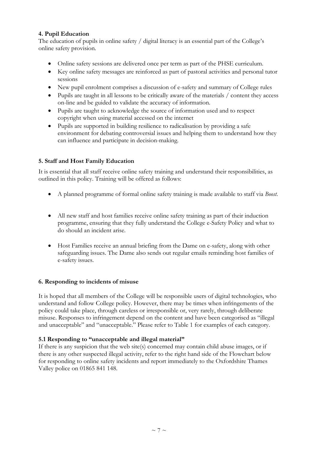## **4. Pupil Education**

The education of pupils in online safety / digital literacy is an essential part of the College's online safety provision.

- Online safety sessions are delivered once per term as part of the PHSE curriculum.
- Key online safety messages are reinforced as part of pastoral activities and personal tutor sessions
- New pupil enrolment comprises a discussion of e-safety and summary of College rules
- Pupils are taught in all lessons to be critically aware of the materials / content they access on-line and be guided to validate the accuracy of information.
- Pupils are taught to acknowledge the source of information used and to respect copyright when using material accessed on the internet
- Pupils are supported in building resilience to radicalisation by providing a safe environment for debating controversial issues and helping them to understand how they can influence and participate in decision-making.

# **5. Staff and Host Family Education**

It is essential that all staff receive online safety training and understand their responsibilities, as outlined in this policy. Training will be offered as follows:

- A planned programme of formal online safety training is made available to staff via *Boost*.
- All new staff and host families receive online safety training as part of their induction programme, ensuring that they fully understand the College e-Safety Policy and what to do should an incident arise.
- Host Families receive an annual briefing from the Dame on e-safety, along with other safeguarding issues. The Dame also sends out regular emails reminding host families of e-safety issues.

## **6. Responding to incidents of misuse**

It is hoped that all members of the College will be responsible users of digital technologies, who understand and follow College policy. However, there may be times when infringements of the policy could take place, through careless or irresponsible or, very rarely, through deliberate misuse. Responses to infringement depend on the content and have been categorised as "illegal and unacceptable" and "unacceptable." Please refer to Table 1 for examples of each category.

## **5.1 Responding to "unacceptable and illegal material"**

If there is any suspicion that the web site(s) concerned may contain child abuse images, or if there is any other suspected illegal activity, refer to the right hand side of the Flowchart below for responding to online safety incidents and report immediately to the Oxfordshire Thames Valley police on 01865 841 148.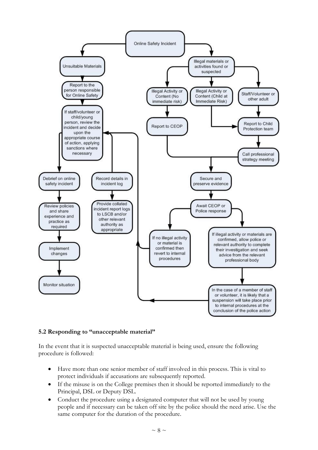

#### **5.2 Responding to "unacceptable material"**

In the event that it is suspected unacceptable material is being used, ensure the following procedure is followed:

- Have more than one senior member of staff involved in this process. This is vital to protect individuals if accusations are subsequently reported.
- If the misuse is on the College premises then it should be reported immediately to the Principal, DSL or Deputy DSL.
- Conduct the procedure using a designated computer that will not be used by young people and if necessary can be taken off site by the police should the need arise. Use the same computer for the duration of the procedure.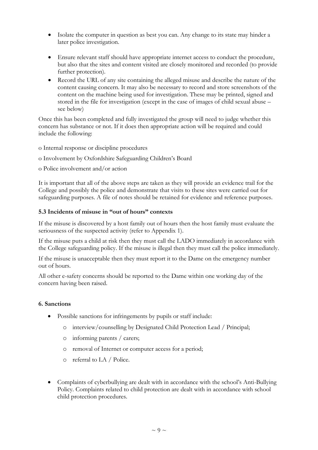- Isolate the computer in question as best you can. Any change to its state may hinder a later police investigation.
- Ensure relevant staff should have appropriate internet access to conduct the procedure, but also that the sites and content visited are closely monitored and recorded (to provide further protection).
- Record the URL of any site containing the alleged misuse and describe the nature of the content causing concern. It may also be necessary to record and store screenshots of the content on the machine being used for investigation. These may be printed, signed and stored in the file for investigation (except in the case of images of child sexual abuse – see below)

Once this has been completed and fully investigated the group will need to judge whether this concern has substance or not. If it does then appropriate action will be required and could include the following:

- o Internal response or discipline procedures
- o Involvement by Oxfordshire Safeguarding Children's Board
- o Police involvement and/or action

It is important that all of the above steps are taken as they will provide an evidence trail for the College and possibly the police and demonstrate that visits to these sites were carried out for safeguarding purposes. A file of notes should be retained for evidence and reference purposes.

#### **5.3 Incidents of misuse in "out of hours" contexts**

If the misuse is discovered by a host family out of hours then the host family must evaluate the seriousness of the suspected activity (refer to Appendix 1).

If the misuse puts a child at risk then they must call the LADO immediately in accordance with the College safeguarding policy. If the misuse is illegal then they must call the police immediately.

If the misuse is unacceptable then they must report it to the Dame on the emergency number out of hours.

All other e-safety concerns should be reported to the Dame within one working day of the concern having been raised.

#### **6. Sanctions**

- Possible sanctions for infringements by pupils or staff include:
	- o interview/counselling by Designated Child Protection Lead / Principal;
	- o informing parents / carers;
	- o removal of Internet or computer access for a period;
	- o referral to LA / Police.
- Complaints of cyberbullying are dealt with in accordance with the school's Anti-Bullying Policy. Complaints related to child protection are dealt with in accordance with school child protection procedures.